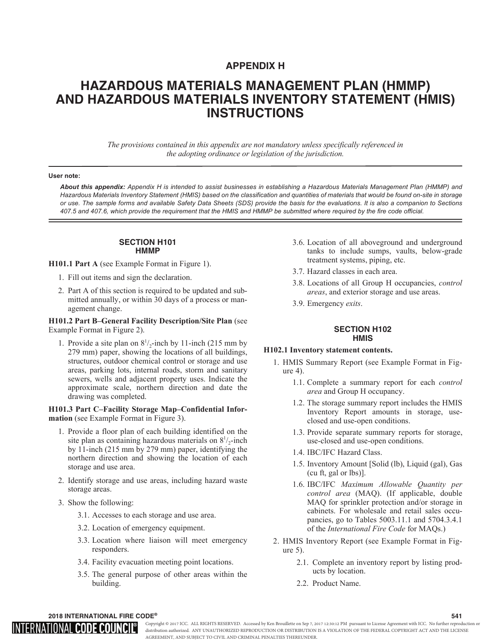# **APPENDIX H**

# **HAZARDOUS MATERIALS MANAGEMENT PLAN (HMMP) AND HAZARDOUS MATERIALS INVENTORY STATEMENT (HMIS) INSTRUCTIONS**

*The provisions contained in this appendix are not mandatory unless specifically referenced in the adopting ordinance or legislation of the jurisdiction.*

#### **User note:**

*About this appendix: Appendix H is intended to assist businesses in establishing a Hazardous Materials Management Plan (HMMP) and Hazardous Materials Inventory Statement (HMIS) based on the classification and quantities of materials that would be found on-site in storage or use. The sample forms and available Safety Data Sheets (SDS) provide the basis for the evaluations. It is also a companion to Sections 407.5 and 407.6, which provide the requirement that the HMIS and HMMP be submitted where required by the fire code official.*

# **SECTION H101 HMMP**

**H101.1 Part A** (see Example Format in Figure 1).

- 1. Fill out items and sign the declaration.
- 2. Part A of this section is required to be updated and submitted annually, or within 30 days of a process or management change.

**H101.2 Part B–General Facility Description/Site Plan** (see Example Format in Figure 2).

1. Provide a site plan on  $8^{1}/_{2}$ -inch by 11-inch (215 mm by 279 mm) paper, showing the locations of all buildings, structures, outdoor chemical control or storage and use areas, parking lots, internal roads, storm and sanitary sewers, wells and adjacent property uses. Indicate the approximate scale, northern direction and date the drawing was completed.

# **H101.3 Part C–Facility Storage Map–Confidential Information** (see Example Format in Figure 3).

- 1. Provide a floor plan of each building identified on the site plan as containing hazardous materials on  $8^{1}/_{2}$ -inch by 11-inch (215 mm by 279 mm) paper, identifying the northern direction and showing the location of each storage and use area.
- 2. Identify storage and use areas, including hazard waste storage areas.
- 3. Show the following:
	- 3.1. Accesses to each storage and use area.
	- 3.2. Location of emergency equipment.
	- 3.3. Location where liaison will meet emergency responders.
	- 3.4. Facility evacuation meeting point locations.
	- 3.5. The general purpose of other areas within the building.
- 3.6. Location of all aboveground and underground tanks to include sumps, vaults, below-grade treatment systems, piping, etc.
- 3.7. Hazard classes in each area.
- 3.8. Locations of all Group H occupancies, *control areas*, and exterior storage and use areas.
- 3.9. Emergency *exits*.

# **SECTION H102 HMIS**

# **H102.1 Inventory statement contents.**

- 1. HMIS Summary Report (see Example Format in Figure 4).
	- 1.1. Complete a summary report for each *control area* and Group H occupancy.
	- 1.2. The storage summary report includes the HMIS Inventory Report amounts in storage, useclosed and use-open conditions.
	- 1.3. Provide separate summary reports for storage, use-closed and use-open conditions.
	- 1.4. IBC/IFC Hazard Class.
	- 1.5. Inventory Amount [Solid (lb), Liquid (gal), Gas (cu ft, gal or lbs)].
	- 1.6. IBC/IFC *Maximum Allowable Quantity per control area* (MAQ). (If applicable, double MAQ for sprinkler protection and/or storage in cabinets. For wholesale and retail sales occupancies, go to Tables 5003.11.1 and 5704.3.4.1 of the *International Fire Code* for MAQs.)
- 2. HMIS Inventory Report (see Example Format in Figure 5).
	- 2.1. Complete an inventory report by listing products by location.
	- 2.2. Product Name.

 $\,$  2018 INTERNATIONAL FIRE CODE®  $\,$  541  $\,$ 

# INTERNATIONAL **code counci**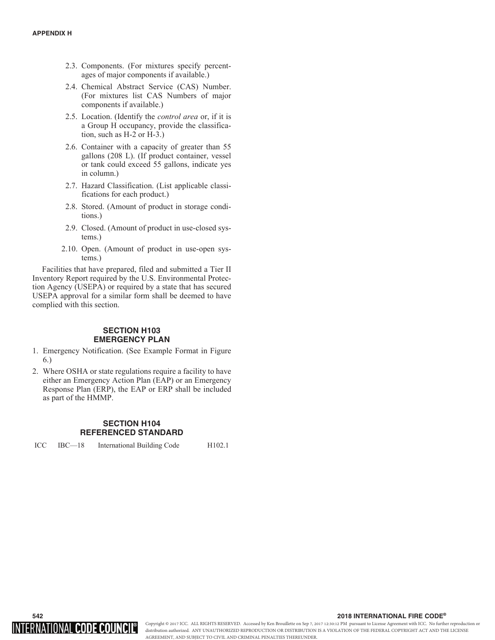- 2.3. Components. (For mixtures specify percentages of major components if available.)
- 2.4. Chemical Abstract Service (CAS) Number. (For mixtures list CAS Numbers of major components if available.)
- 2.5. Location. (Identify the *control area* or, if it is a Group H occupancy, provide the classification, such as H-2 or H-3.)
- 2.6. Container with a capacity of greater than 55 gallons (208 L). (If product container, vessel or tank could exceed 55 gallons, indicate yes in column.)
- 2.7. Hazard Classification. (List applicable classifications for each product.)
- 2.8. Stored. (Amount of product in storage conditions.)
- 2.9. Closed. (Amount of product in use-closed systems.)
- 2.10. Open. (Amount of product in use-open systems.)

Facilities that have prepared, filed and submitted a Tier II Inventory Report required by the U.S. Environmental Protection Agency (USEPA) or required by a state that has secured USEPA approval for a similar form shall be deemed to have complied with this section.

# **SECTION H103 EMERGENCY PLAN**

- 1. Emergency Notification. (See Example Format in Figure 6.)
- 2. Where OSHA or state regulations require a facility to have either an Emergency Action Plan (EAP) or an Emergency Response Plan (ERP), the EAP or ERP shall be included as part of the HMMP.

# **SECTION H104 REFERENCED STANDARD**

ICC IBC—18 International Building Code H102.1



# $\sim$  2018 INTERNATIONAL FIRE CODE®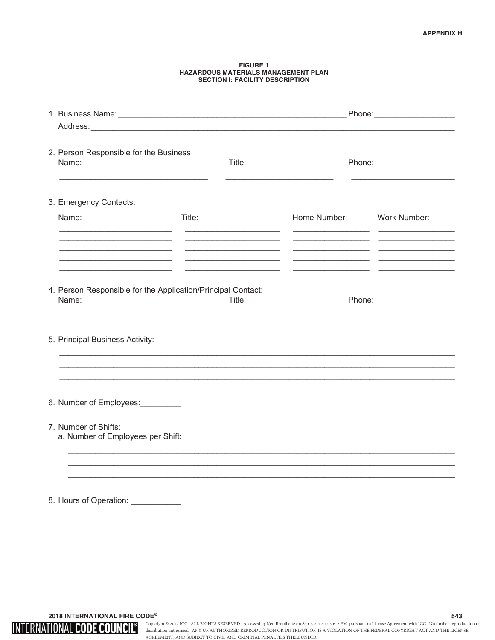#### **FIGURE 1 HAZARDOUS MATERIALS MANAGEMENT PLAN SECTION I: FACILITY DESCRIPTION**

| 2. Person Responsible for the Business<br>Name:                                                                                                                                              | Title: |                           | Phone: |  |  |  |  |
|----------------------------------------------------------------------------------------------------------------------------------------------------------------------------------------------|--------|---------------------------|--------|--|--|--|--|
| 3. Emergency Contacts:                                                                                                                                                                       |        |                           |        |  |  |  |  |
| Name:                                                                                                                                                                                        | Title: | Home Number: Work Number: |        |  |  |  |  |
| <u> 1990 - Johann John Stone, market francuski filozof (</u>                                                                                                                                 |        |                           |        |  |  |  |  |
|                                                                                                                                                                                              |        |                           |        |  |  |  |  |
| 4. Person Responsible for the Application/Principal Contact:<br>Name:<br><u> 1989 - Paris Alexandria, poeta e poeta e poeta establecidad e poeta e poeta e poeta e poeta e poeta e poeta</u> | Title: | Phone:                    |        |  |  |  |  |
| 5. Principal Business Activity:                                                                                                                                                              |        |                           |        |  |  |  |  |
|                                                                                                                                                                                              |        |                           |        |  |  |  |  |
| 6. Number of Employees:                                                                                                                                                                      |        |                           |        |  |  |  |  |
| 7. Number of Shifts: ______________<br>a. Number of Employees per Shift:                                                                                                                     |        |                           |        |  |  |  |  |
|                                                                                                                                                                                              |        |                           |        |  |  |  |  |
|                                                                                                                                                                                              |        |                           |        |  |  |  |  |
| 8. Hours of Operation: ___________                                                                                                                                                           |        |                           |        |  |  |  |  |

**2018 INTERNATIONAL FIRE CODE®** 543

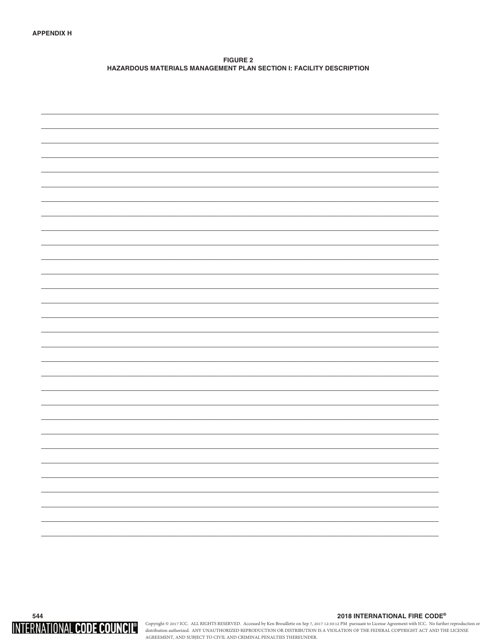**FIGURE 2** HAZARDOUS MATERIALS MANAGEMENT PLAN SECTION I: FACILITY DESCRIPTION



## 2018 INTERNATIONAL FIRE CODE®

Copyright © 2017 ICC. ALL RIGHTS RESERVED. Accessed by Ken Brouillette on Sep 7, 2017 12:30:12 PM pursuant to License Agreement with ICC. No further reproduction or distribution authorized. ANY UNAUTHORIZED REPRODUCTION O AGREEMENT, AND SUBJECT TO CIVIL AND CRIMINAL PENALTIES THEREUNDER.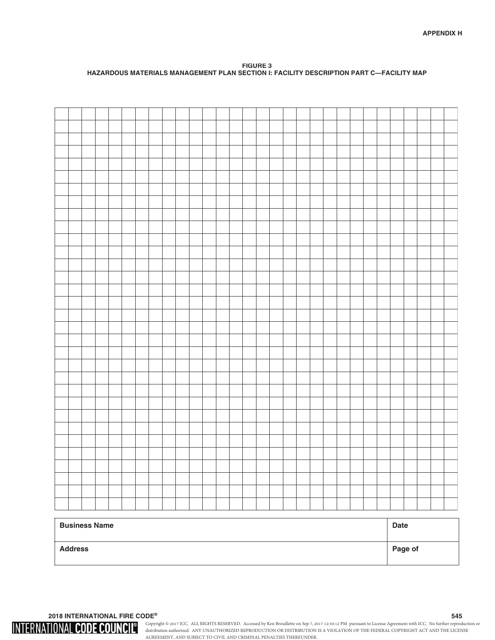**FIGURE 3 HAZARDOUS MATERIALS MANAGEMENT PLAN SECTION I: FACILITY DESCRIPTION PART C-FACILITY MAP** 

| <b>Business Name</b> | <b>Date</b> |
|----------------------|-------------|
| <b>Address</b>       | Page of     |

**2018 INTERNATIONAL FIRE CODE®** 545

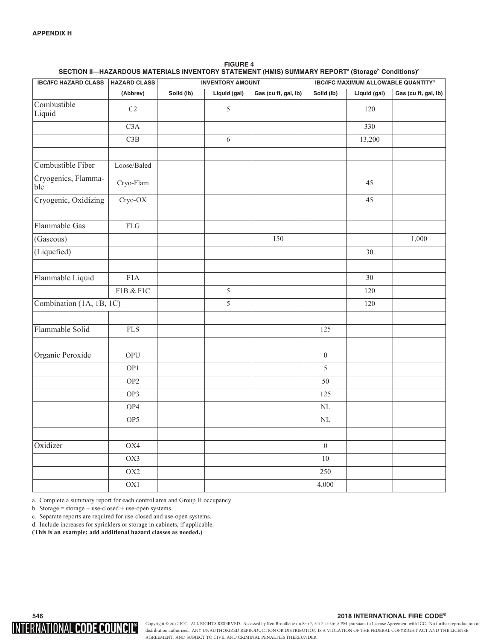| <b>IBC/IFC HAZARD CLASS</b> | <b>HAZARD CLASS</b> |            | <b>INVENTORY AMOUNT</b> |                      | <b>IBC/IFC MAXIMUM ALLOWABLE QUANTITYd</b> |              |                      |  |  |  |
|-----------------------------|---------------------|------------|-------------------------|----------------------|--------------------------------------------|--------------|----------------------|--|--|--|
|                             | (Abbrev)            | Solid (lb) | Liquid (gal)            | Gas (cu ft, gal, lb) | Solid (lb)                                 | Liquid (gal) | Gas (cu ft, gal, lb) |  |  |  |
| Combustible<br>Liquid       | C <sub>2</sub>      |            | $\sqrt{5}$              |                      |                                            | 120          |                      |  |  |  |
|                             | C3A                 |            |                         |                      |                                            | 330          |                      |  |  |  |
|                             | C3B                 |            | 6                       |                      |                                            | 13,200       |                      |  |  |  |
| Combustible Fiber           | Loose/Baled         |            |                         |                      |                                            |              |                      |  |  |  |
| Cryogenics, Flamma-<br>ble  | Cryo-Flam           |            |                         |                      |                                            | 45           |                      |  |  |  |
| Cryogenic, Oxidizing        | $Cryo-OX$           |            |                         |                      |                                            | 45           |                      |  |  |  |
| Flammable Gas               | ${\rm FLG}$         |            |                         |                      |                                            |              |                      |  |  |  |
| (Gaseous)                   |                     |            |                         | 150                  |                                            |              | 1,000                |  |  |  |
| (Liquefied)                 |                     |            |                         |                      |                                            | $30\,$       |                      |  |  |  |
| Flammable Liquid            | F1A                 |            |                         |                      |                                            | 30           |                      |  |  |  |
|                             | F1B & F1C           |            | $\sqrt{5}$              |                      |                                            | 120          |                      |  |  |  |
| Combination (1A, 1B, 1C)    |                     |            | 5                       |                      |                                            | 120          |                      |  |  |  |
| Flammable Solid             | <b>FLS</b>          |            |                         |                      | 125                                        |              |                      |  |  |  |
| Organic Peroxide            | OPU                 |            |                         |                      | $\boldsymbol{0}$                           |              |                      |  |  |  |
|                             | OP1                 |            |                         |                      | 5                                          |              |                      |  |  |  |
|                             | OP <sub>2</sub>     |            |                         |                      | 50                                         |              |                      |  |  |  |
|                             | OP3                 |            |                         |                      | 125                                        |              |                      |  |  |  |
|                             | OP4                 |            |                         |                      | $\rm NL$                                   |              |                      |  |  |  |
|                             | OP <sub>5</sub>     |            |                         |                      | $\rm NL$                                   |              |                      |  |  |  |
| Oxidizer                    | OX4                 |            |                         |                      | $\boldsymbol{0}$                           |              |                      |  |  |  |
|                             | OX3                 |            |                         |                      | 10                                         |              |                      |  |  |  |
|                             | $\rm O X2$          |            |                         |                      | 250                                        |              |                      |  |  |  |
|                             | OX <sub>1</sub>     |            |                         |                      | 4,000                                      |              |                      |  |  |  |

**FIGURE 4** SECTION II—HAZARDOUS MATERIALS INVENTORY STATEMENT (HMIS) SUMMARY REPORT<sup>a</sup> (Storage<sup>b</sup> Conditions)<sup>c</sup>

a. Complete a summary report for each control area and Group H occupancy.

b. Storage = storage + use-closed + use-open systems.

c. Separate reports are required for use-closed and use-open systems.

d. Include increases for sprinklers or storage in cabinets, if applicable.

**(This is an example; add additional hazard classes as needed.)**

# INTERNATIONAL CODE COUNCIL®

## $\sim$  2018 INTERNATIONAL FIRE CODE®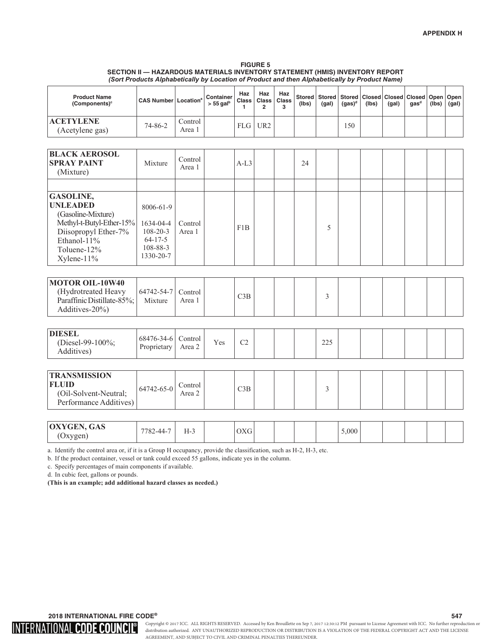#### **FIGURE 5 SECTION II - HAZARDOUS MATERIALS INVENTORY STATEMENT (HMIS) INVENTORY REPORT** *(Sort Products Alphabetically by Location of Product and then Alphabetically by Product Name)*

a. Identify the control area or, if it is a Group H occupancy, provide the classification, such as H-2, H-3, etc.

b. If the product container, vessel or tank could exceed 55 gallons, indicate yes in the column.

c. Specify percentages of main components if available.

d. In cubic feet, gallons or pounds.

**(This is an example; add additional hazard classes as needed.)**

 $\,$  2018 INTERNATIONAL FIRE CODE®  $\,$  547  $\,$